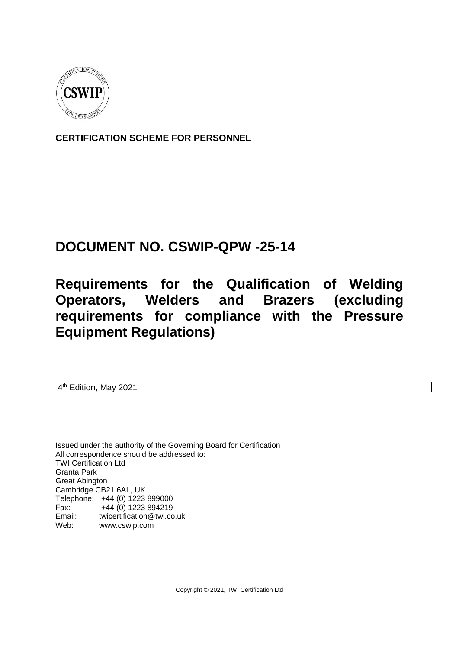

**CERTIFICATION SCHEME FOR PERSONNEL**

# **DOCUMENT NO. CSWIP-QPW -25-14**

# **Requirements for the Qualification of Welding Operators, Welders and Brazers (excluding requirements for compliance with the Pressure Equipment Regulations)**

4<sup>th</sup> Edition, May 2021

Issued under the authority of the Governing Board for Certification All correspondence should be addressed to: TWI Certification Ltd Granta Park Great Abington Cambridge CB21 6AL, UK. Telephone: +44 (0) 1223 899000 Fax: +44 (0) 1223 894219 Email: twicertification@twi.co.uk Web: www.cswip.com

Copyright © 2021, TWI Certification Ltd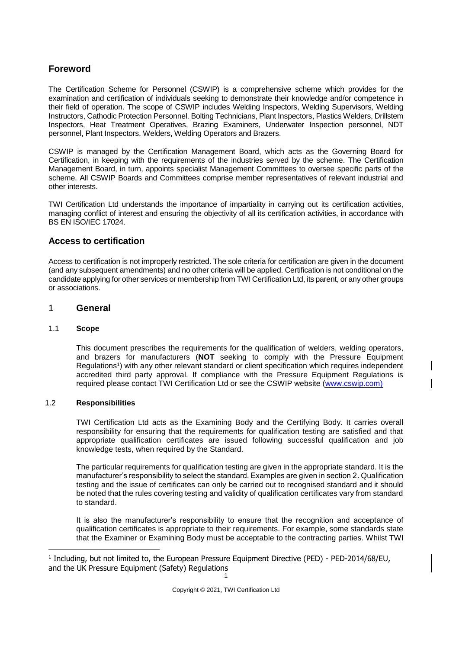# **Foreword**

The Certification Scheme for Personnel (CSWIP) is a comprehensive scheme which provides for the examination and certification of individuals seeking to demonstrate their knowledge and/or competence in their field of operation. The scope of CSWIP includes Welding Inspectors, Welding Supervisors, Welding Instructors, Cathodic Protection Personnel. Bolting Technicians, Plant Inspectors, Plastics Welders, Drillstem Inspectors, Heat Treatment Operatives, Brazing Examiners, Underwater Inspection personnel, NDT personnel, Plant Inspectors, Welders, Welding Operators and Brazers.

CSWIP is managed by the Certification Management Board, which acts as the Governing Board for Certification, in keeping with the requirements of the industries served by the scheme. The Certification Management Board, in turn, appoints specialist Management Committees to oversee specific parts of the scheme. All CSWIP Boards and Committees comprise member representatives of relevant industrial and other interests.

TWI Certification Ltd understands the importance of impartiality in carrying out its certification activities, managing conflict of interest and ensuring the objectivity of all its certification activities, in accordance with BS EN ISO/IEC 17024.

## **Access to certification**

Access to certification is not improperly restricted. The sole criteria for certification are given in the document (and any subsequent amendments) and no other criteria will be applied. Certification is not conditional on the candidate applying for other services or membership from TWI Certification Ltd, its parent, or any other groups or associations.

#### 1 **General**

#### 1.1 **Scope**

-

This document prescribes the requirements for the qualification of welders, welding operators, and brazers for manufacturers (**NOT** seeking to comply with the Pressure Equipment Regulations<sup>1</sup>) with any other relevant standard or client specification which requires independent accredited third party approval. If compliance with the Pressure Equipment Regulations is required please contact TWI Certification Ltd or see the CSWIP website [\(www.cswip.com\)](http://www.cswip.com/)

#### 1.2 **Responsibilities**

TWI Certification Ltd acts as the Examining Body and the Certifying Body. It carries overall responsibility for ensuring that the requirements for qualification testing are satisfied and that appropriate qualification certificates are issued following successful qualification and job knowledge tests, when required by the Standard.

The particular requirements for qualification testing are given in the appropriate standard. It is the manufacturer's responsibility to select the standard. Examples are given in section 2. Qualification testing and the issue of certificates can only be carried out to recognised standard and it should be noted that the rules covering testing and validity of qualification certificates vary from standard to standard.

It is also the manufacturer's responsibility to ensure that the recognition and acceptance of qualification certificates is appropriate to their requirements. For example, some standards state that the Examiner or Examining Body must be acceptable to the contracting parties. Whilst TWI

<sup>1</sup> <sup>1</sup> Including, but not limited to, the European Pressure Equipment Directive (PED) - PED-2014/68/EU, and the UK Pressure Equipment (Safety) Regulations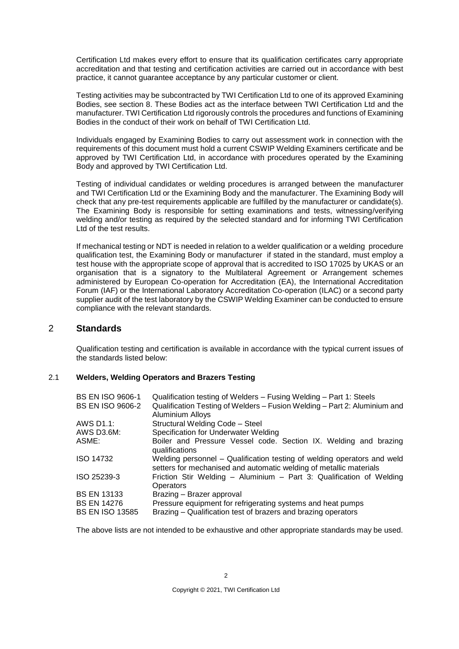Certification Ltd makes every effort to ensure that its qualification certificates carry appropriate accreditation and that testing and certification activities are carried out in accordance with best practice, it cannot guarantee acceptance by any particular customer or client.

Testing activities may be subcontracted by TWI Certification Ltd to one of its approved Examining Bodies, see section 8. These Bodies act as the interface between TWI Certification Ltd and the manufacturer. TWI Certification Ltd rigorously controls the procedures and functions of Examining Bodies in the conduct of their work on behalf of TWI Certification Ltd.

Individuals engaged by Examining Bodies to carry out assessment work in connection with the requirements of this document must hold a current CSWIP Welding Examiners certificate and be approved by TWI Certification Ltd, in accordance with procedures operated by the Examining Body and approved by TWI Certification Ltd.

Testing of individual candidates or welding procedures is arranged between the manufacturer and TWI Certification Ltd or the Examining Body and the manufacturer. The Examining Body will check that any pre-test requirements applicable are fulfilled by the manufacturer or candidate(s). The Examining Body is responsible for setting examinations and tests, witnessing/verifying welding and/or testing as required by the selected standard and for informing TWI Certification Ltd of the test results.

If mechanical testing or NDT is needed in relation to a welder qualification or a welding procedure qualification test, the Examining Body or manufacturer if stated in the standard, must employ a test house with the appropriate scope of approval that is accredited to ISO 17025 by UKAS or an organisation that is a signatory to the Multilateral Agreement or Arrangement schemes administered by European Co-operation for Accreditation (EA), the International Accreditation Forum (IAF) or the International Laboratory Accreditation Co-operation (ILAC) or a second party supplier audit of the test laboratory by the CSWIP Welding Examiner can be conducted to ensure compliance with the relevant standards.

## 2 **Standards**

Qualification testing and certification is available in accordance with the typical current issues of the standards listed below:

#### 2.1 **Welders, Welding Operators and Brazers Testing**

| <b>BS EN ISO 9606-1</b> | Qualification testing of Welders - Fusing Welding - Part 1: Steels                                                                            |
|-------------------------|-----------------------------------------------------------------------------------------------------------------------------------------------|
| <b>BS EN ISO 9606-2</b> | Qualification Testing of Welders - Fusion Welding - Part 2: Aluminium and<br><b>Aluminium Alloys</b>                                          |
| AWS D1.1:               | Structural Welding Code - Steel                                                                                                               |
| AWS D3.6M:              | Specification for Underwater Welding                                                                                                          |
| ASME:                   | Boiler and Pressure Vessel code. Section IX. Welding and brazing<br>qualifications                                                            |
| <b>ISO 14732</b>        | Welding personnel – Qualification testing of welding operators and weld<br>setters for mechanised and automatic welding of metallic materials |
| ISO 25239-3             | Friction Stir Welding - Aluminium - Part 3: Qualification of Welding<br><b>Operators</b>                                                      |
| <b>BS EN 13133</b>      | Brazing - Brazer approval                                                                                                                     |
| <b>BS EN 14276</b>      | Pressure equipment for refrigerating systems and heat pumps                                                                                   |
| <b>BS EN ISO 13585</b>  | Brazing – Qualification test of brazers and brazing operators                                                                                 |

The above lists are not intended to be exhaustive and other appropriate standards may be used.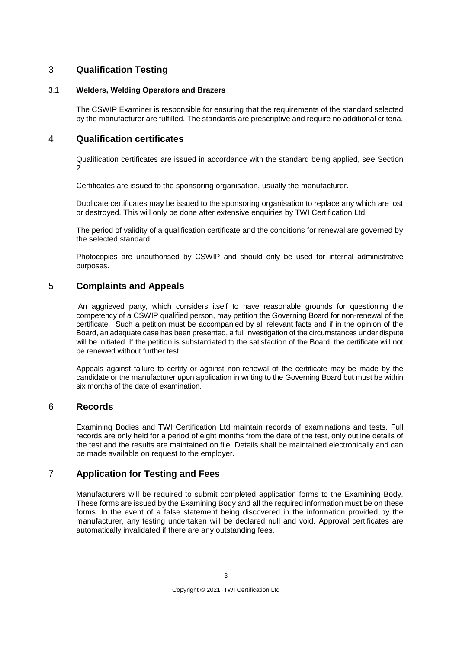# 3 **Qualification Testing**

#### 3.1 **Welders, Welding Operators and Brazers**

The CSWIP Examiner is responsible for ensuring that the requirements of the standard selected by the manufacturer are fulfilled. The standards are prescriptive and require no additional criteria.

## 4 **Qualification certificates**

Qualification certificates are issued in accordance with the standard being applied, see Section 2.

Certificates are issued to the sponsoring organisation, usually the manufacturer.

Duplicate certificates may be issued to the sponsoring organisation to replace any which are lost or destroyed. This will only be done after extensive enquiries by TWI Certification Ltd.

The period of validity of a qualification certificate and the conditions for renewal are governed by the selected standard.

Photocopies are unauthorised by CSWIP and should only be used for internal administrative purposes.

## 5 **Complaints and Appeals**

An aggrieved party, which considers itself to have reasonable grounds for questioning the competency of a CSWIP qualified person, may petition the Governing Board for non-renewal of the certificate. Such a petition must be accompanied by all relevant facts and if in the opinion of the Board, an adequate case has been presented, a full investigation of the circumstances under dispute will be initiated. If the petition is substantiated to the satisfaction of the Board, the certificate will not be renewed without further test.

Appeals against failure to certify or against non-renewal of the certificate may be made by the candidate or the manufacturer upon application in writing to the Governing Board but must be within six months of the date of examination.

## 6 **Records**

Examining Bodies and TWI Certification Ltd maintain records of examinations and tests. Full records are only held for a period of eight months from the date of the test, only outline details of the test and the results are maintained on file. Details shall be maintained electronically and can be made available on request to the employer.

## 7 **Application for Testing and Fees**

Manufacturers will be required to submit completed application forms to the Examining Body. These forms are issued by the Examining Body and all the required information must be on these forms. In the event of a false statement being discovered in the information provided by the manufacturer, any testing undertaken will be declared null and void. Approval certificates are automatically invalidated if there are any outstanding fees.